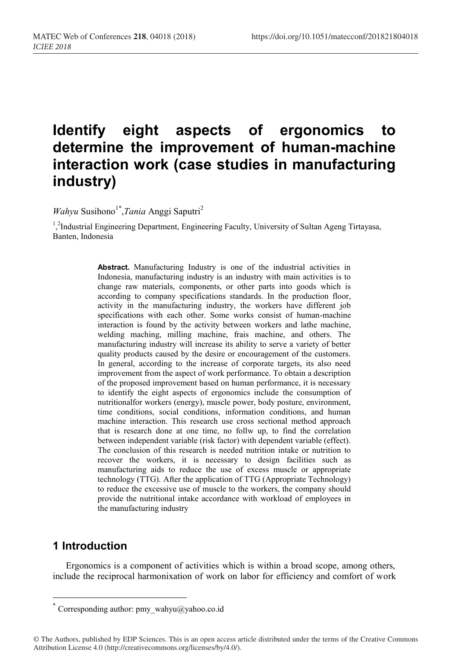# **Identify eight aspects of ergonomics to determine the improvement of human-machine interaction work (case studies in manufacturing industry)**

*Wahyu* Susihono<sup>1\*</sup>, *Tania* Anggi Saputri<sup>2</sup>

<sup>1</sup>,<sup>2</sup>Industrial Engineering Department, Engineering Faculty, University of Sultan Ageng Tirtayasa, Banten, Indonesia

> **Abstract.** Manufacturing Industry is one of the industrial activities in Indonesia, manufacturing industry is an industry with main activities is to change raw materials, components, or other parts into goods which is according to company specifications standards. In the production floor, activity in the manufacturing industry, the workers have different job specifications with each other. Some works consist of human-machine interaction is found by the activity between workers and lathe machine, welding maching, milling machine, frais machine, and others. The manufacturing industry will increase its ability to serve a variety of better quality products caused by the desire or encouragement of the customers. In general, according to the increase of corporate targets, its also need improvement from the aspect of work performance. To obtain a description of the proposed improvement based on human performance, it is necessary to identify the eight aspects of ergonomics include the consumption of nutritionalfor workers (energy), muscle power, body posture, environment, time conditions, social conditions, information conditions, and human machine interaction. This research use cross sectional method approach that is research done at one time, no follw up, to find the correlation between independent variable (risk factor) with dependent variable (effect). The conclusion of this research is needed nutrition intake or nutrition to recover the workers, it is necessary to design facilities such as manufacturing aids to reduce the use of excess muscle or appropriate technology (TTG). After the application of TTG (Appropriate Technology) to reduce the excessive use of muscle to the workers, the company should provide the nutritional intake accordance with workload of employees in the manufacturing industry

# **1 Introduction**

Ergonomics is a component of activities which is within a broad scope, among others, include the reciprocal harmonixation of work on labor for efficiency and comfort of work

© The Authors, published by EDP Sciences. This is an open access article distributed under the terms of the Creative Commons Attribution License 4.0 (http://creativecommons.org/licenses/by/4.0/).

<sup>\*</sup> Corresponding author: pmy\_wahyu@yahoo.co.id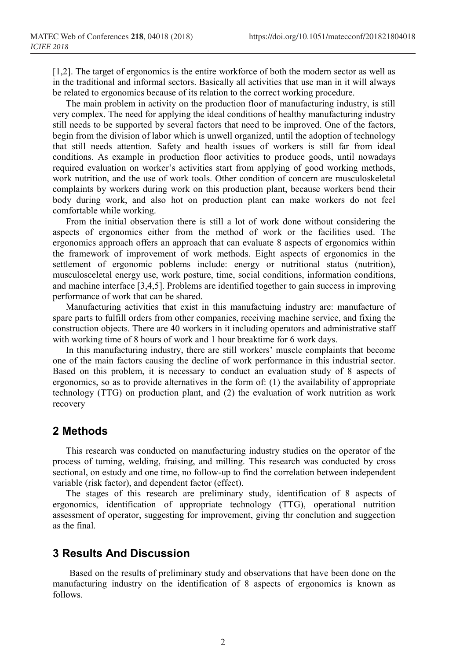[1,2]. The target of ergonomics is the entire workforce of both the modern sector as well as in the traditional and informal sectors. Basically all activities that use man in it will always be related to ergonomics because of its relation to the correct working procedure.

The main problem in activity on the production floor of manufacturing industry, is still very complex. The need for applying the ideal conditions of healthy manufacturing industry still needs to be supported by several factors that need to be improved. One of the factors, begin from the division of labor which is unwell organized, until the adoption of technology that still needs attention. Safety and health issues of workers is still far from ideal conditions. As example in production floor activities to produce goods, until nowadays required evaluation on worker's activities start from applying of good working methods, work nutrition, and the use of work tools. Other condition of concern are musculoskeletal complaints by workers during work on this production plant, because workers bend their body during work, and also hot on production plant can make workers do not feel comfortable while working.

From the initial observation there is still a lot of work done without considering the aspects of ergonomics either from the method of work or the facilities used. The ergonomics approach offers an approach that can evaluate 8 aspects of ergonomics within the framework of improvement of work methods. Eight aspects of ergonomics in the settlement of ergonomic poblems include: energy or nutritional status (nutrition), musculosceletal energy use, work posture, time, social conditions, information conditions, and machine interface [3,4,5]. Problems are identified together to gain success in improving performance of work that can be shared.

Manufacturing activities that exist in this manufactuing industry are: manufacture of spare parts to fulfill orders from other companies, receiving machine service, and fixing the construction objects. There are 40 workers in it including operators and administrative staff with working time of 8 hours of work and 1 hour breaktime for 6 work days.

In this manufacturing industry, there are still workers' muscle complaints that become one of the main factors causing the decline of work performance in this industrial sector. Based on this problem, it is necessary to conduct an evaluation study of 8 aspects of ergonomics, so as to provide alternatives in the form of: (1) the availability of appropriate technology (TTG) on production plant, and (2) the evaluation of work nutrition as work recovery

### **2 Methods**

This research was conducted on manufacturing industry studies on the operator of the process of turning, welding, fraising, and milling. This research was conducted by cross sectional, on estudy and one time, no follow-up to find the correlation between independent variable (risk factor), and dependent factor (effect).

The stages of this research are preliminary study, identification of 8 aspects of ergonomics, identification of appropriate technology (TTG), operational nutrition assessment of operator, suggesting for improvement, giving thr conclution and suggection as the final.

# **3 Results And Discussion**

Based on the results of preliminary study and observations that have been done on the manufacturing industry on the identification of 8 aspects of ergonomics is known as follows.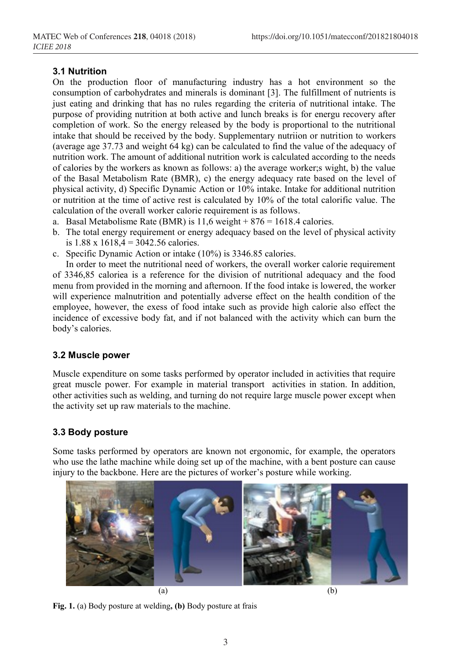#### **3.1 Nutrition**

On the production floor of manufacturing industry has a hot environment so the consumption of carbohydrates and minerals is dominant [3]. The fulfillment of nutrients is just eating and drinking that has no rules regarding the criteria of nutritional intake. The purpose of providing nutrition at both active and lunch breaks is for energu recovery after completion of work. So the energy released by the body is proportional to the nutritional intake that should be received by the body. Supplementary nutriion or nutrition to workers (average age 37.73 and weight 64 kg) can be calculated to find the value of the adequacy of nutrition work. The amount of additional nutrition work is calculated according to the needs of calories by the workers as known as follows: a) the average worker;s wight, b) the value of the Basal Metabolism Rate (BMR), c) the energy adequacy rate based on the level of physical activity, d) Specific Dynamic Action or 10% intake. Intake for additional nutrition or nutrition at the time of active rest is calculated by 10% of the total calorific value. The calculation of the overall worker calorie requirement is as follows.

- a. Basal Metabolisme Rate (BMR) is  $11.6$  weight  $+ 876 = 1618.4$  calories.
- b. The total energy requirement or energy adequacy based on the level of physical activity is  $1.88 \times 1618,4 = 3042.56$  calories.
- c. Specific Dynamic Action or intake (10%) is 3346.85 calories.

In order to meet the nutritional need of workers, the overall worker calorie requirement of 3346,85 caloriea is a reference for the division of nutritional adequacy and the food menu from provided in the morning and afternoon. If the food intake is lowered, the worker will experience malnutrition and potentially adverse effect on the health condition of the employee, however, the exess of food intake such as provide high calorie also effect the incidence of excessive body fat, and if not balanced with the activity which can burn the body's calories.

#### **3.2 Muscle power**

Muscle expenditure on some tasks performed by operator included in activities that require great muscle power. For example in material transport activities in station. In addition, other activities such as welding, and turning do not require large muscle power except when the activity set up raw materials to the machine.

#### **3.3 Body posture**

Some tasks performed by operators are known not ergonomic, for example, the operators who use the lathe machine while doing set up of the machine, with a bent posture can cause injury to the backbone. Here are the pictures of worker's posture while working.



**Fig. 1.** (a) Body posture at welding**, (b)** Body posture at frais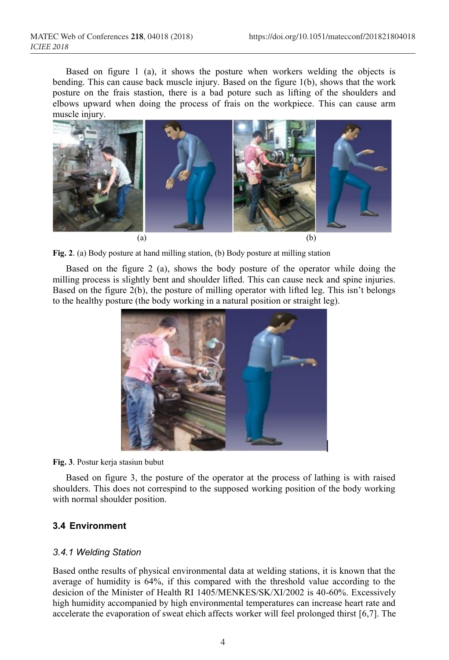Based on figure 1 (a), it shows the posture when workers welding the objects is bending. This can cause back muscle injury. Based on the figure 1(b), shows that the work posture on the frais stastion, there is a bad poture such as lifting of the shoulders and elbows upward when doing the process of frais on the workpiece. This can cause arm muscle injury.



**Fig. 2**. (a) Body posture at hand milling station, (b) Body posture at milling station

Based on the figure 2 (a), shows the body posture of the operator while doing the milling process is slightly bent and shoulder lifted. This can cause neck and spine injuries. Based on the figure 2(b), the posture of milling operator with lifted leg. This isn't belongs to the healthy posture (the body working in a natural position or straight leg).



**Fig. 3**. Postur kerja stasiun bubut

Based on figure 3, the posture of the operator at the process of lathing is with raised shoulders. This does not correspind to the supposed working position of the body working with normal shoulder position.

#### **3.4 Environment**

#### *3.4.1 Welding Station*

Based onthe results of physical environmental data at welding stations, it is known that the average of humidity is 64%, if this compared with the threshold value according to the desicion of the Minister of Health RI 1405/MENKES/SK/XI/2002 is 40-60%. Excessively high humidity accompanied by high environmental temperatures can increase heart rate and accelerate the evaporation of sweat ehich affects worker will feel prolonged thirst [6,7]. The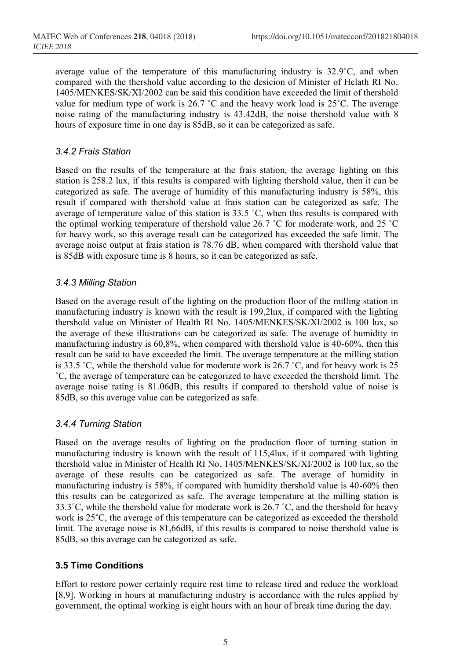average value of the temperature of this manufacturing industry is 32.9˚C, and when compared with the thershold value according to the desicion of Minister of Helath RI No. 1405/MENKES/SK/XI/2002 can be said this condition have exceeded the limit of thershold value for medium type of work is 26.7 ˚C and the heavy work load is 25˚C. The average noise rating of the manufacturing industry is 43.42dB, the noise thershold value with 8 hours of exposure time in one day is 85dB, so it can be categorized as safe.

#### *3.4.2 Frais Station*

Based on the results of the temperature at the frais station, the average lighting on this station is 258.2 lux, if this results is compared with lighting thershold value, then it can be categorized as safe. The average of humidity of this manufacturing industry is 58%, this result if compared with thershold value at frais station can be categorized as safe. The average of temperature value of this station is 33.5 ˚C, when this results is compared with the optimal working temperature of thershold value 26.7 ˚C for moderate work, and 25 ˚C for heavy work, so this average result can be categorized has exceeded the safe limit. The average noise output at frais station is 78.76 dB, when compared with thershold value that is 85dB with exposure time is 8 hours, so it can be categorized as safe.

#### *3.4.3 Milling Station*

Based on the average result of the lighting on the production floor of the milling station in manufacturing industry is known with the result is 199,2lux, if compared with the lighting thershold value on Minister of Health RI No. 1405/MENKES/SK/XI/2002 is 100 lux, so the average of these illustrations can be categorized as safe. The average of humidity in manufacturing industry is 60,8%, when compared with thershold value is 40-60%, then this result can be said to have exceeded the limit. The average temperature at the milling station is 33.5 °C, while the thershold value for moderate work is 26.7 °C, and for heavy work is 25 ˚C, the average of temperature can be categorized to have exceeded the thershold limit. The average noise rating is 81.06dB, this results if compared to thershold value of noise is 85dB, so this average value can be categorized as safe.

#### *3.4.4 Turning Station*

Based on the average results of lighting on the production floor of turning station in manufacturing industry is known with the result of 115,4lux, if it compared with lighting thershold value in Minister of Health RI No. 1405/MENKES/SK/XI/2002 is 100 lux, so the average of these results can be categorized as safe. The average of humidity in manufacturing industry is 58%, if compared with humidity thershold value is 40-60% then this results can be categorized as safe. The average temperature at the milling station is 33.3 $^{\circ}$ C, while the thershold value for moderate work is 26.7 $^{\circ}$ C, and the thershold for heavy work is 25˚C, the average of this temperature can be categorized as exceeded the thershold limit. The average noise is 81,66dB, if this results is compared to noise thershold value is 85dB, so this average can be categorized as safe.

#### **3.5 Time Conditions**

Effort to restore power certainly require rest time to release tired and reduce the workload [8,9]. Working in hours at manufacturing industry is accordance with the rules applied by government, the optimal working is eight hours with an hour of break time during the day.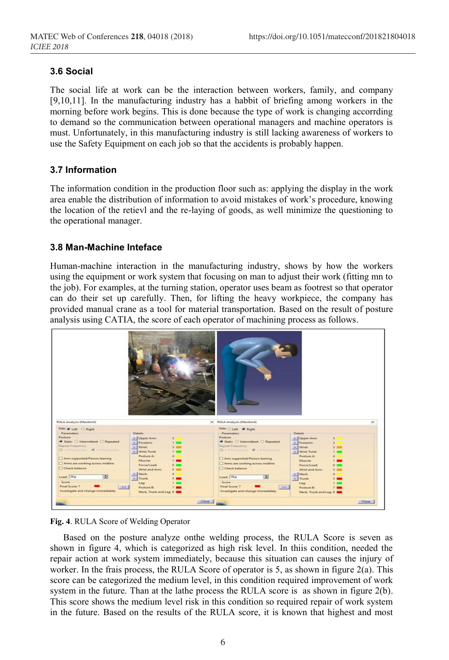## **3.6 Social**

The social life at work can be the interaction between workers, family, and company [9,10,11]. In the manufacturing industry has a habbit of briefing among workers in the morning before work begins. This is done because the type of work is changing accorrding to demand so the communication between operational managers and machine operators is must. Unfortunately, in this manufacturing industry is still lacking awareness of workers to use the Safety Equipment on each job so that the accidents is probably happen.

#### **3.7 Information**

The information condition in the production floor such as: applying the display in the work area enable the distribution of information to avoid mistakes of work's procedure, knowing the location of the retievl and the re-laying of goods, as well minimize the questioning to the operational manager.

#### **3.8 Man-Machine Inteface**

Human-machine interaction in the manufacturing industry, shows by how the workers using the equipment or work system that focusing on man to adjust their work (fitting mn to the job). For examples, at the turning station, operator uses beam as footrest so that operator can do their set up carefully. Then, for lifting the heavy workpiece, the company has provided manual crane as a tool for material transportation. Based on the result of posture analysis using CATIA, the score of each operator of machining process as follows.



**Fig. 4**. RULA Score of Welding Operator

Based on the posture analyze onthe welding process, the RULA Score is seven as shown in figure 4, which is categorized as high risk level. In thiis condition, needed the repair action at work system immediately, because this situation can causes the injury of worker. In the frais process, the RULA Score of operator is 5, as shown in figure 2(a). This score can be categorized the medium level, in this condition required improvement of work system in the future. Than at the lathe process the RULA score is as shown in figure 2(b). This score shows the medium level risk in this condition so required repair of work system in the future. Based on the results of the RULA score, it is known that highest and most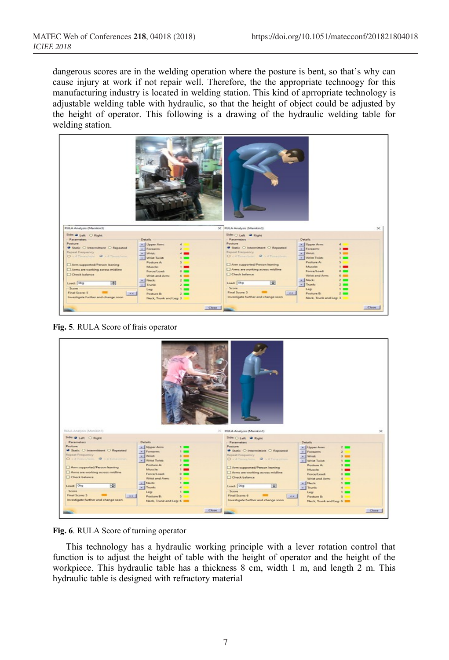dangerous scores are in the welding operation where the posture is bent, so that's why can cause injury at work if not repair well. Therefore, the the appropriate technoogy for this manufacturing industry is located in welding station. This kind of aprropriate technology is adjustable welding table with hydraulic, so that the height of object could be adjusted by the height of operator. This following is a drawing of the hydraulic welding table for welding station.



**Fig. 5**. RULA Score of frais operator

| RULA Analysis (Manikin1)                                                                                                                                                                                                                                                                                                                                                                                                                                                                                                                                                                                                                 | X RULA Analysis (ManikinT)<br>$\times$                                                                                                                                                                                                                                                                                                                                                                                                                                                                                                                                                                                                                               |
|------------------------------------------------------------------------------------------------------------------------------------------------------------------------------------------------------------------------------------------------------------------------------------------------------------------------------------------------------------------------------------------------------------------------------------------------------------------------------------------------------------------------------------------------------------------------------------------------------------------------------------------|----------------------------------------------------------------------------------------------------------------------------------------------------------------------------------------------------------------------------------------------------------------------------------------------------------------------------------------------------------------------------------------------------------------------------------------------------------------------------------------------------------------------------------------------------------------------------------------------------------------------------------------------------------------------|
| Side @ Left. O Right<br>Parameters<br>Details<br>Posture<br>- Upper Arm:<br>$1 -$<br>Static O Intermittent O Repeated<br>- Forearm:<br>$1.7 - 1.7$<br>Repeat Frequency<br>- I Wrist:<br>O c4Times/min @ v4Times/min<br>- Wrist Twist<br>1 <sup>2</sup><br>Posture Ac<br>$2 - 2$<br>Arm supported/Person leaning<br>Muncle<br>Arms are working across midline<br>Force/Load:<br>$\circ$<br>Check balance<br>Wrist and Arm:<br>$\mathbf{R}$<br>Neck<br>岡<br>Load: Okg<br>- Trunk:<br>Score<br>Leg.<br>$3 - 1$<br>Final Score 5<br>$  \cdot  $<br>Pesture B:<br>$\sim$<br>Investigate further and change soon<br>Neck, Trunk and Leg: 6 100 | Side: O Left @ Right<br>Details.<br><b>Parameters</b><br>Posture<br>+ Upper Arm:<br>$2 =$<br>Static O Intermittent O Repeated<br>· Forearm:<br>$2 -$<br>Repeat Frequency<br>- I Wrist<br>$3 \equiv$<br>O <4.Times/min. @ > 4.Times/min.<br>- Wrist Twist<br>$1 - 1$<br>Posture &<br>3.000<br>Arm supported/Person leaning<br>Muscle:<br>$1 - 1$<br>Arms are working across midline<br>Force/Load:<br>$0 =$<br>Check balance<br>Wrist and Arm:<br>$\overline{a}$<br>$+$ Meck<br>$1 -$<br>團<br>Load: Okg<br>$+$ Trunk:<br>a.<br>Score<br>Leg<br>$\sim$<br>Final Score 6<br>$-$<br>Posture B:<br>$5 -$<br>Investigate further and change soon<br>Neck, Trunk and Leg: 6 |

**Fig. 6**. RULA Score of turning operator

This technology has a hydraulic working principle with a lever rotation control that function is to adjust the height of table with the height of operator and the height of the workpiece. This hydraulic table has a thickness 8 cm, width 1 m, and length 2 m. This hydraulic table is designed with refractory material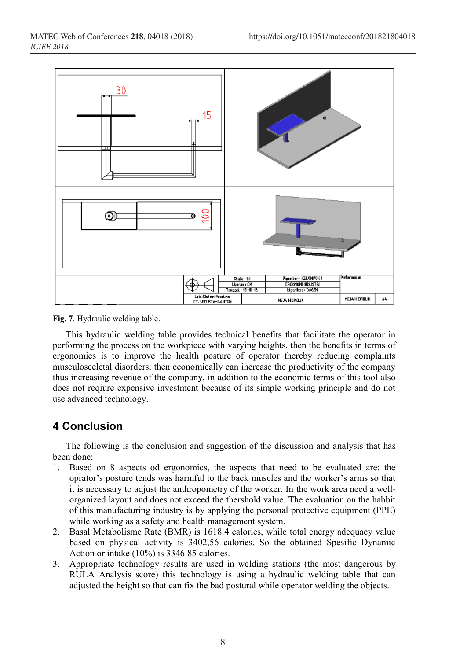

**Fig. 7**. Hydraulic welding table.

This hydraulic welding table provides technical benefits that facilitate the operator in performing the process on the workpiece with varying heights, then the benefits in terms of ergonomics is to improve the health posture of operator thereby reducing complaints musculosceletal disorders, then economically can increase the productivity of the company thus increasing revenue of the company, in addition to the economic terms of this tool also does not reqiure expensive investment because of its simple working principle and do not use advanced technology.

# **4 Conclusion**

The following is the conclusion and suggestion of the discussion and analysis that has been done:

- 1. Based on 8 aspects od ergonomics, the aspects that need to be evaluated are: the oprator's posture tends was harmful to the back muscles and the worker's arms so that it is necessary to adjust the anthropometry of the worker. In the work area need a wellorganized layout and does not exceed the thershold value. The evaluation on the habbit of this manufacturing industry is by applying the personal protective equipment (PPE) while working as a safety and health management system.
- 2. Basal Metabolisme Rate (BMR) is 1618.4 calories, while total energy adequacy value based on physical activity is 3402,56 calories. So the obtained Spesific Dynamic Action or intake (10%) is 3346.85 calories.
- 3. Appropriate technology results are used in welding stations (the most dangerous by RULA Analysis score) this technology is using a hydraulic welding table that can adjusted the height so that can fix the bad postural while operator welding the objects.